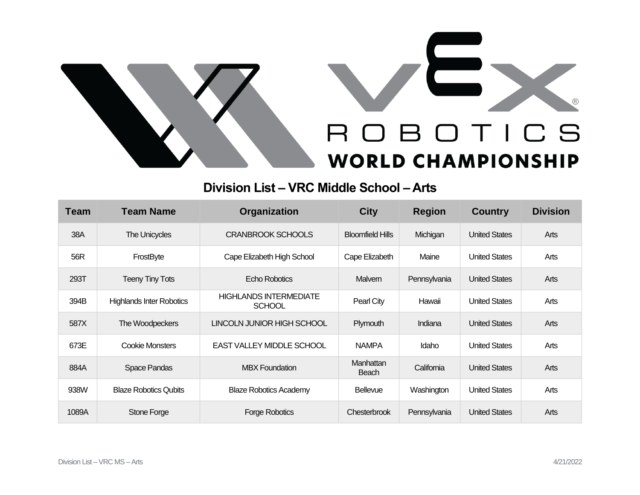



## **Division List – VRC Middle School – Arts**

| <b>Team</b> | <b>Team Name</b>                | <b>Organization</b>                            | <b>City</b>               | <b>Region</b> | <b>Country</b>       | <b>Division</b> |
|-------------|---------------------------------|------------------------------------------------|---------------------------|---------------|----------------------|-----------------|
| 38A         | The Unicycles                   | <b>CRANBROOK SCHOOLS</b>                       | <b>Bloomfield Hills</b>   | Michigan      | <b>United States</b> | Arts            |
| 56R         | FrostByte                       | Cape Elizabeth High School                     | Cape Elizabeth            | Maine         | <b>United States</b> | Arts            |
| 293T        | <b>Teeny Tiny Tots</b>          | Echo Robotics                                  | <b>Malvern</b>            | Pennsylvania  | <b>United States</b> | Arts            |
| 394B        | <b>Highlands Inter Robotics</b> | <b>HIGHLANDS INTERMEDIATE</b><br><b>SCHOOL</b> | Pearl City                | Hawaii        | <b>United States</b> | Arts            |
| 587X        | The Woodpeckers                 | LINCOLN JUNIOR HIGH SCHOOL                     | Plymouth                  | Indiana       | <b>United States</b> | Arts            |
| 673E        | <b>Cookie Monsters</b>          | EAST VALLEY MIDDLE SCHOOL                      | <b>NAMPA</b>              | Idaho         | <b>United States</b> | Arts            |
| 884A        | Space Pandas                    | <b>MBX Foundation</b>                          | Manhattan<br><b>Beach</b> | California    | <b>United States</b> | Arts            |
| 938W        | <b>Blaze Robotics Qubits</b>    | <b>Blaze Robotics Academy</b>                  | <b>Bellevue</b>           | Washington    | <b>United States</b> | Arts            |
| 1089A       | Stone Forge                     | <b>Forge Robotics</b>                          | Chesterbrook              | Pennsylvania  | <b>United States</b> | Arts            |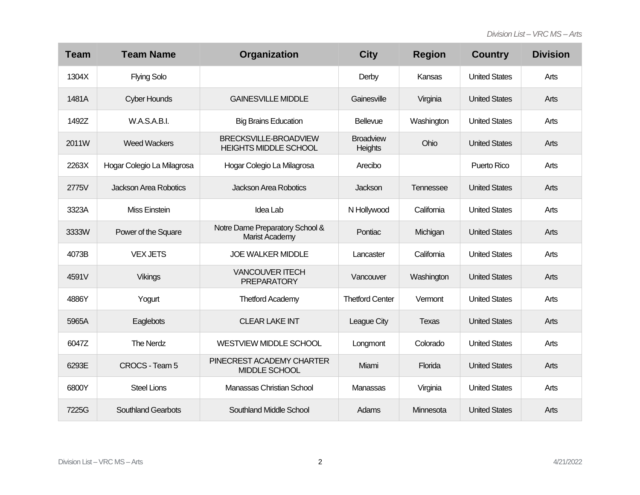| <b>Team</b> | <b>Team Name</b>           | Organization                                          | <b>City</b>                 | <b>Region</b> | <b>Country</b>       | <b>Division</b> |
|-------------|----------------------------|-------------------------------------------------------|-----------------------------|---------------|----------------------|-----------------|
| 1304X       | <b>Flying Solo</b>         |                                                       | Derby                       | Kansas        | <b>United States</b> | Arts            |
| 1481A       | <b>Cyber Hounds</b>        | <b>GAINESVILLE MIDDLE</b>                             | Gainesville                 | Virginia      | <b>United States</b> | Arts            |
| 1492Z       | W.A.S.A.B.I.               | <b>Big Brains Education</b>                           | Bellevue                    | Washington    | <b>United States</b> | Arts            |
| 2011W       | <b>Weed Wackers</b>        | BRECKSVILLE-BROADVIEW<br><b>HEIGHTS MIDDLE SCHOOL</b> | <b>Broadview</b><br>Heights | Ohio          | <b>United States</b> | Arts            |
| 2263X       | Hogar Colegio La Milagrosa | Hogar Colegio La Milagrosa                            | Arecibo                     |               | Puerto Rico          | Arts            |
| 2775V       | Jackson Area Robotics      | <b>Jackson Area Robotics</b>                          | Jackson                     | Tennessee     | <b>United States</b> | Arts            |
| 3323A       | <b>Miss Einstein</b>       | Idea Lab                                              | N Hollywood                 | California    | <b>United States</b> | Arts            |
| 3333W       | Power of the Square        | Notre Dame Preparatory School &<br>Marist Academy     | Pontiac                     | Michigan      | <b>United States</b> | Arts            |
| 4073B       | <b>VEX JETS</b>            | <b>JOE WALKER MIDDLE</b>                              | Lancaster                   | California    | <b>United States</b> | Arts            |
| 4591V       | <b>Vikings</b>             | <b>VANCOUVER ITECH</b><br><b>PREPARATORY</b>          | Vancouver                   | Washington    | <b>United States</b> | Arts            |
| 4886Y       | Yogurt                     | <b>Thetford Academy</b>                               | <b>Thetford Center</b>      | Vermont       | <b>United States</b> | Arts            |
| 5965A       | Eaglebots                  | <b>CLEAR LAKE INT</b>                                 | League City                 | <b>Texas</b>  | <b>United States</b> | Arts            |
| 6047Z       | <b>The Nerdz</b>           | <b>WESTVIEW MIDDLE SCHOOL</b>                         | Longmont                    | Colorado      | <b>United States</b> | Arts            |
| 6293E       | CROCS - Team 5             | PINECREST ACADEMY CHARTER<br>MIDDLE SCHOOL            | Miami                       | Florida       | <b>United States</b> | Arts            |
| 6800Y       | <b>Steel Lions</b>         | Manassas Christian School                             | Manassas                    | Virginia      | <b>United States</b> | Arts            |
| 7225G       | <b>Southland Gearbots</b>  | <b>Southland Middle School</b>                        | Adams                       | Minnesota     | <b>United States</b> | Arts            |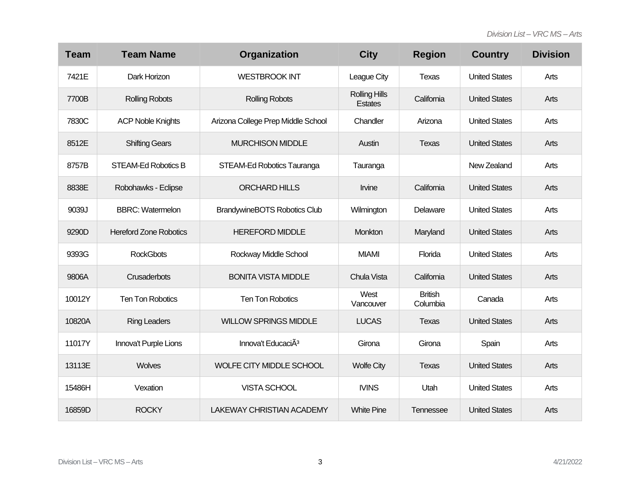| <b>Team</b> | <b>Team Name</b>              | Organization                        | <b>City</b>                            | <b>Region</b>              | <b>Country</b>       | <b>Division</b> |
|-------------|-------------------------------|-------------------------------------|----------------------------------------|----------------------------|----------------------|-----------------|
| 7421E       | Dark Horizon                  | <b>WESTBROOK INT</b>                | League City                            | <b>Texas</b>               | <b>United States</b> | Arts            |
| 7700B       | <b>Rolling Robots</b>         | <b>Rolling Robots</b>               | <b>Rolling Hills</b><br><b>Estates</b> | California                 | <b>United States</b> | Arts            |
| 7830C       | <b>ACP Noble Knights</b>      | Arizona College Prep Middle School  | Chandler                               | Arizona                    | <b>United States</b> | Arts            |
| 8512E       | <b>Shifting Gears</b>         | <b>MURCHISON MIDDLE</b>             | Austin                                 | <b>Texas</b>               | <b>United States</b> | Arts            |
| 8757B       | STEAM-Ed Robotics B           | STEAM-Ed Robotics Tauranga          | Tauranga                               |                            | New Zealand          | Arts            |
| 8838E       | Robohawks - Eclipse           | <b>ORCHARD HILLS</b>                | Irvine                                 | California                 | <b>United States</b> | Arts            |
| 9039J       | <b>BBRC: Watermelon</b>       | <b>BrandywineBOTS Robotics Club</b> | Wilmington                             | Delaware                   | <b>United States</b> | Arts            |
| 9290D       | <b>Hereford Zone Robotics</b> | <b>HEREFORD MIDDLE</b>              | Monkton                                | Maryland                   | <b>United States</b> | Arts            |
| 9393G       | <b>RockGbots</b>              | Rockway Middle School               | <b>MIAMI</b>                           | Florida                    | <b>United States</b> | Arts            |
| 9806A       | Crusaderbots                  | <b>BONITA VISTA MIDDLE</b>          | Chula Vista                            | California                 | <b>United States</b> | Arts            |
| 10012Y      | <b>Ten Ton Robotics</b>       | Ten Ton Robotics                    | West<br>Vancouver                      | <b>British</b><br>Columbia | Canada               | Arts            |
| 10820A      | <b>Ring Leaders</b>           | <b>WILLOW SPRINGS MIDDLE</b>        | <b>LUCAS</b>                           | Texas                      | <b>United States</b> | Arts            |
| 11017Y      | Innova't Purple Lions         | Innova't EducaciA <sup>3</sup>      | Girona                                 | Girona                     | Spain                | Arts            |
| 13113E      | <b>Wolves</b>                 | WOLFE CITY MIDDLE SCHOOL            | <b>Wolfe City</b>                      | <b>Texas</b>               | <b>United States</b> | Arts            |
| 15486H      | Vexation                      | <b>VISTA SCHOOL</b>                 | <b>IVINS</b>                           | Utah                       | <b>United States</b> | Arts            |
| 16859D      | <b>ROCKY</b>                  | <b>LAKEWAY CHRISTIAN ACADEMY</b>    | <b>White Pine</b>                      | Tennessee                  | <b>United States</b> | Arts            |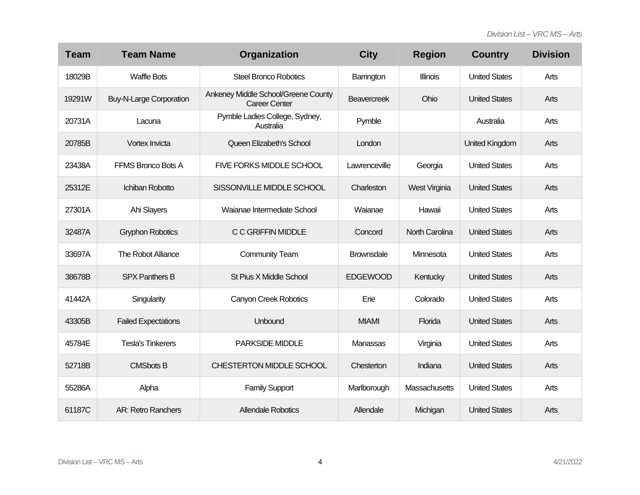| <b>Team</b> | <b>Team Name</b>               | Organization                                                | <b>City</b>        | <b>Region</b>         | <b>Country</b>        | <b>Division</b> |
|-------------|--------------------------------|-------------------------------------------------------------|--------------------|-----------------------|-----------------------|-----------------|
| 18029B      | <b>Waffle Bots</b>             | <b>Steel Bronco Robotics</b>                                | Barrington         | <b>Illinois</b>       | <b>United States</b>  | Arts            |
| 19291W      | <b>Buy-N-Large Corporation</b> | Ankeney Middle School/Greene County<br><b>Career Center</b> | <b>Beavercreek</b> | Ohio                  | <b>United States</b>  | Arts            |
| 20731A      | Lacuna                         | Pymble Ladies College, Sydney,<br>Australia                 | Pymble             |                       | Australia             | Arts            |
| 20785B      | Vortex Invicta                 | Queen Elizabeth's School                                    | London             |                       | <b>United Kingdom</b> | Arts            |
| 23438A      | FFMS Bronco Bots A             | FIVE FORKS MIDDLE SCHOOL                                    | Lawrenceville      | Georgia               | <b>United States</b>  | Arts            |
| 25312E      | Ichiban Robotto                | SISSONVILLE MIDDLE SCHOOL                                   | Charleston         | West Virginia         | <b>United States</b>  | Arts            |
| 27301A      | Ahi Slayers                    | Waianae Intermediate School                                 | Waianae            | Hawaii                | <b>United States</b>  | Arts            |
| 32487A      | <b>Gryphon Robotics</b>        | C C GRIFFIN MIDDLE                                          | Concord            | <b>North Carolina</b> | <b>United States</b>  | Arts            |
| 33697A      | The Robot Alliance             | <b>Community Team</b>                                       | <b>Brownsdale</b>  | Minnesota             | <b>United States</b>  | Arts            |
| 38678B      | <b>SPX Panthers B</b>          | <b>St Pius X Middle School</b>                              | <b>EDGEWOOD</b>    | Kentucky              | <b>United States</b>  | Arts            |
| 41442A      | Singularity                    | <b>Canyon Creek Robotics</b>                                | Erie               | Colorado              | <b>United States</b>  | Arts            |
| 43305B      | <b>Failed Expectations</b>     | Unbound                                                     | <b>MIAMI</b>       | Florida               | <b>United States</b>  | Arts            |
| 45784E      | <b>Tesla's Tinkerers</b>       | PARKSIDE MIDDLE                                             | Manassas           | Virginia              | <b>United States</b>  | Arts            |
| 52718B      | <b>CMSbots B</b>               | CHESTERTON MIDDLE SCHOOL                                    | Chesterton         | Indiana               | <b>United States</b>  | Arts            |
| 55286A      | Alpha                          | <b>Family Support</b>                                       | Marlborough        | Massachusetts         | <b>United States</b>  | Arts            |
| 61187C      | <b>AR: Retro Ranchers</b>      | <b>Allendale Robotics</b>                                   | Allendale          | Michigan              | <b>United States</b>  | Arts            |